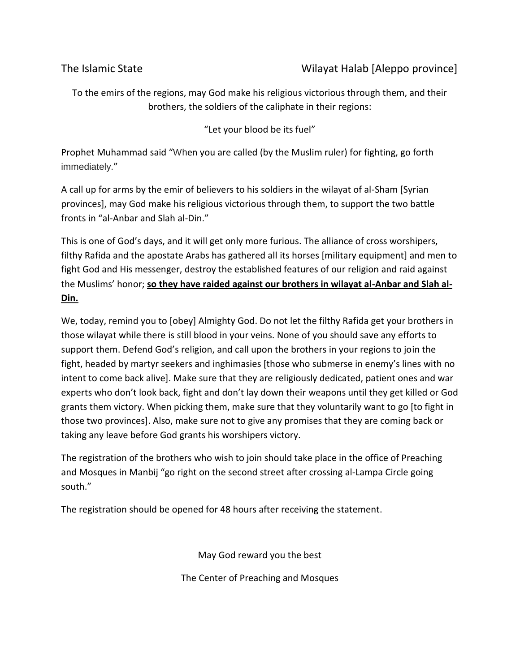## The Islamic State **The Islamic State** Wilayat Halab [Aleppo province]

To the emirs of the regions, may God make his religious victorious through them, and their brothers, the soldiers of the caliphate in their regions:

"Let your blood be its fuel"

Prophet Muhammad said "When you are called (by the Muslim ruler) for fighting, go forth immediately."

A call up for arms by the emir of believers to his soldiers in the wilayat of al-Sham [Syrian provinces], may God make his religious victorious through them, to support the two battle fronts in "al-Anbar and Slah al-Din."

This is one of God's days, and it will get only more furious. The alliance of cross worshipers, filthy Rafida and the apostate Arabs has gathered all its horses [military equipment] and men to fight God and His messenger, destroy the established features of our religion and raid against the Muslims' honor; **so they have raided against our brothers in wilayat al-Anbar and Slah al-Din.**

We, today, remind you to [obey] Almighty God. Do not let the filthy Rafida get your brothers in those wilayat while there is still blood in your veins. None of you should save any efforts to support them. Defend God's religion, and call upon the brothers in your regions to join the fight, headed by martyr seekers and inghimasies [those who submerse in enemy's lines with no intent to come back alive]. Make sure that they are religiously dedicated, patient ones and war experts who don't look back, fight and don't lay down their weapons until they get killed or God grants them victory. When picking them, make sure that they voluntarily want to go [to fight in those two provinces]. Also, make sure not to give any promises that they are coming back or taking any leave before God grants his worshipers victory.

The registration of the brothers who wish to join should take place in the office of Preaching and Mosques in Manbij "go right on the second street after crossing al-Lampa Circle going south."

The registration should be opened for 48 hours after receiving the statement.

May God reward you the best

The Center of Preaching and Mosques